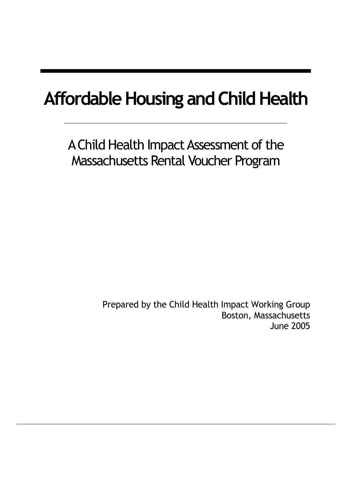# **Affordable Housing and Child Health**

A Child Health Impact Assessment of the Massachusetts Rental Voucher Program

> Prepared by the Child Health Impact Working Group Boston, Massachusetts June 2005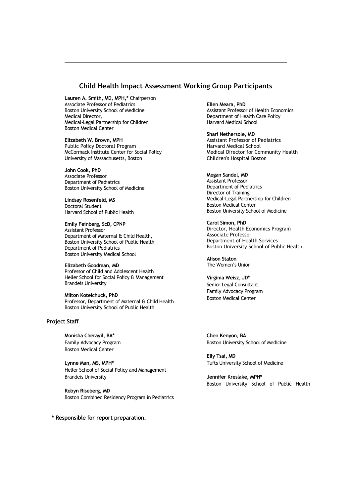### **Child Health Impact Assessment Working Group Participants**

**Lauren A. Smith, MD, MPH,\*** Chairperson Associate Professor of Pediatrics Boston University School of Medicine Medical Director, Medical-Legal Partnership for Children Boston Medical Center

**Elizabeth W. Brown, MPH** Public Policy Doctoral Program McCormack Institute Center for Social Policy

**John Cook, PhD** Associate Professor Department of Pediatrics Boston University School of Medicine

University of Massachusetts, Boston

**Lindsay Rosenfeld, MS** Doctoral Student Harvard School of Public Health

**Emily Feinberg, ScD, CPNP** Assistant Professor Department of Maternal & Child Health, Boston University School of Public Health Department of Pediatrics Boston University Medical School

**Elizabeth Goodman, MD** Professor of Child and Adolescent Health Heller School for Social Policy & Management Brandeis University

**Milton Kotelchuck, PhD** Professor, Department of Maternal & Child Health Boston University School of Public Health

#### **Project Staff**

**Monisha Cherayil, BA\*** Family Advocacy Program Boston Medical Center

**Lynne Man, MS, MPH\*** Heller School of Social Policy and Management Brandeis University

**Robyn Riseberg, MD** Boston Combined Residency Program in Pediatrics

**\* Responsible for report preparation.**

**Ellen Meara, PhD** Assistant Professor of Health Economics Department of Health Care Policy Harvard Medical School

**Shari Nethersole, MD** Assistant Professor of Pediatrics Harvard Medical School Medical Director for Community Health Children's Hospital Boston

**Megan Sandel, MD** Assistant Professor Department of Pediatrics Director of Training Medical-Legal Partnership for Children Boston Medical Center Boston University School of Medicine

**Carol Simon, PhD** Director, Health Economics Program Associate Professor Department of Health Services Boston University School of Public Health

**Alison Staton** The Women's Union

**Virginia Weisz, JD\*** Senior Legal Consultant Family Advocacy Program Boston Medical Center

**Chen Kenyon, BA** Boston University School of Medicine

**Elly Tsai, MD** Tufts University School of Medicine

**Jennifer Kreslake, MPH\*** Boston University School of Public Health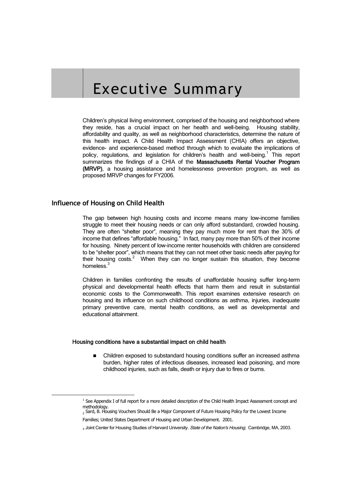# Executive Summary

Children's physical living environment, comprised of the housing and neighborhood where they reside, has a crucial impact on her health and well-being. Housing stability, affordability and quality, as well as neighborhood characteristics, determine the nature of this health impact. A Child Health Impact Assessment (CHIA) offers an objective, evidence- and experience-based method through which to evaluate the implications of policy, regulations, and legislation for children's health and well-being.<sup>1</sup> This report summarizes the findings of a CHIA of the Massachusetts Rental Voucher Program (MRVP), a housing assistance and homelessness prevention program, as well as proposed MRVP changes for FY2006.

# **Influence of Housing on Child Health**

The gap between high housing costs and income means many low-income families struggle to meet their housing needs or can only afford substandard, crowded housing. They are often "shelter poor", meaning they pay much more for rent than the 30% of income that defines "affordable housing." In fact, many pay more than 50% of their income for housing. Ninety percent of low-income renter households with children are considered to be "shelter poor", which means that they can not meet other basic needs after paying for their housing  $costs<sup>2</sup>$ . When they can no longer sustain this situation, they become homeless.<sup>3</sup>

Children in families confronting the results of unaffordable housing suffer long-term physical and developmental health effects that harm them and result in substantial economic costs to the Commonwealth. This report examines extensive research on housing and its influence on such childhood conditions as asthma, injuries, inadequate primary preventive care, mental health conditions, as well as developmental and educational attainment.

#### Housing conditions have a substantial impact on child health

 Children exposed to substandard housing conditions suffer an increased asthma burden, higher rates of infectious diseases, increased lead poisoning, and more childhood injuries, such as falls, death or injury due to fires or burns.

<sup>&</sup>lt;sup>1</sup> See Appendix I of full report for a more detailed description of the Child Health Impact Assessment concept and methodology. <sup>2</sup> Sard, B. Housing Vouchers Should Be a Major Component of Future Housing Policy for the Lowest Income

Families; United States Department of Housing and Urban Development. 2001.

<sup>3</sup> Joint Center for Housing Studies of Harvard University. State of the Nation's Housing; Cambridge, MA, 2003.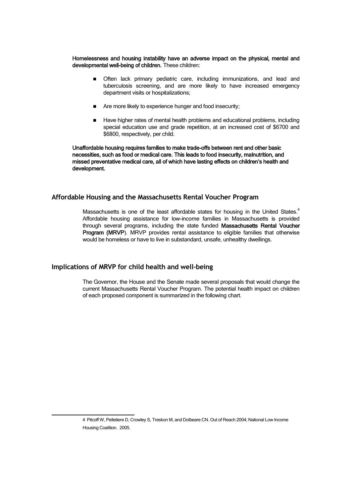Homelessness and housing instability have an adverse impact on the physical, mental and developmental well-being of children. These children:

- **Dealth** Often lack primary pediatric care, including immunizations, and lead and tuberculosis screening, and are more likely to have increased emergency department visits or hospitalizations;
- Are more likely to experience hunger and food insecurity;
- Have higher rates of mental health problems and educational problems, including special education use and grade repetition, at an increased cost of \$6700 and \$6800, respectively, per child.

Unaffordable housing requires families to make trade-offs between rent and other basic necessities, such as food or medical care. This leads to food insecurity, malnutrition, and missed preventative medical care, all of which have lasting effects on children's health and development.

# **Affordable Housing and the Massachusetts Rental Voucher Program**

Massachusetts is one of the least affordable states for housing in the United States. $4$ Affordable housing assistance for low-income families in Massachusetts is provided through several programs, including the state funded Massachusetts Rental Voucher Program (MRVP). MRVP provides rental assistance to eligible families that otherwise would be homeless or have to live in substandard, unsafe, unhealthy dwellings.

# **Implications of MRVP for child health and well-being**

The Governor, the House and the Senate made several proposals that would change the current Massachusetts Rental Voucher Program. The potential health impact on children of each proposed component is summarized in the following chart.

<sup>4</sup> Pitcoff W, Pelletiere D, Crowley S, Treskon M, and Dolbeare CN. Out of Reach 2004; National Low Income Housing Coalition. 2005.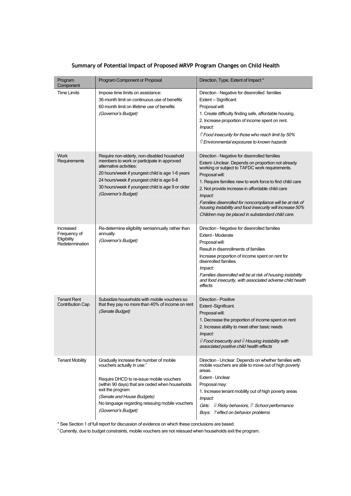| Program<br>Component                                        | Program Component or Proposal                                                                                                                                                                                                                                                                                | Direction, Type, Extent of Impact *                                                                                                                                                                                                                                                                                                                                                                                                                                              |
|-------------------------------------------------------------|--------------------------------------------------------------------------------------------------------------------------------------------------------------------------------------------------------------------------------------------------------------------------------------------------------------|----------------------------------------------------------------------------------------------------------------------------------------------------------------------------------------------------------------------------------------------------------------------------------------------------------------------------------------------------------------------------------------------------------------------------------------------------------------------------------|
| <b>Time Limits</b>                                          | Impose time limits on assistance:<br>36-month limit on continuous use of benefits<br>60-month limit on lifetime use of benefits<br>(Governor's Budget)                                                                                                                                                       | Direction - Negative for disenrolled families<br>Extent -- Significant<br>Proposal will:<br>1. Create difficulty finding safe, affordable housing.<br>2. Increase proportion of income spent on rent.<br>Impact:<br><i>ff</i> Food insecurity for those who reach limit by 50%<br>↑ Environmental exposures to known hazards                                                                                                                                                     |
| <b>Work</b><br>Requirements                                 | Require non-elderly, non-disabled household<br>members to work or participate in approved<br>alternative activities:<br>20 hours/week if youngest child is age 1-6 years<br>24 hours/week if youngest child is age 6-8<br>30 hours/week if youngest child is age 9 or older<br>(Governor's Budget)           | Direction - Negative for disenrolled families<br>Extent-Unclear. Depends on proportion not already<br>working or subject to TAFDC work requirements.<br>Proposal will:<br>1. Require families new to work force to find child care<br>2. Not provide increase in affordable child care<br>Impact:<br>Families disenrolled for noncompliance will be at risk of<br>housing instability and food insecurity will increase 50%<br>Children may be placed in substandard child care. |
| Increased<br>Frequency of<br>Eligibility<br>Redetermination | Re-determine eligibility semiannually rather than<br>annually.<br>(Governor's Budget)                                                                                                                                                                                                                        | Direction - Negative for disenrolled families<br>Extent - Moderate<br>Proposal will:<br>Result in disenrollments of families<br>Increase proportion of income spent on rent for<br>disenrolled families<br><i>Impact:</i><br>Families disenrolled will be at risk of housing instability<br>and food insecurity, with associated adverse child health<br>effects.                                                                                                                |
| <b>Tenant Rent</b><br><b>Contribution Cap</b>               | Subsidize households with mobile vouchers so<br>that they pay no more than 40% of income on rent<br>(Senate Budget)                                                                                                                                                                                          | Direction - Positive<br>Extent-Significant.<br>Proposal will:<br>1. Decrease the proportion of income spent on rent<br>2. Increase ability to meet other basic needs<br>Impact:<br>$\mathcal U$ Food insecurity and $\mathcal U$ Housing instability with<br>associated positive child health effects                                                                                                                                                                            |
| <b>Tenant Mobility</b>                                      | Gradually increase the number of mobile<br>vouchers actually in use: <sup>+</sup><br>Require DHCD to re-issue mobile vouchers<br>(within 90 days) that are ceded when households<br>exit the program<br>(Senate and House Budgets)<br>No language regarding reissuing mobile vouchers<br>(Governor's Budget) | Direction - Unclear. Depends on whether families with<br>mobile vouchers are able to move out of high poverty<br>areas.<br>Extent - Unclear<br>Proposal may:<br>1. Increase tenant mobility out of high poverty areas<br>Impact:<br>Girls: $\Downarrow$ Risky behaviors, $\Uparrow$ School performance<br>Boys: ? effect on behavior problems                                                                                                                                    |

# **Summary of Potential Impact of Proposed MRVP Program Changes on Child Health**

\* See Section 1 of full report for discussion of evidence on which these conclusions are based.

<sup>+</sup>Currently, due to budget constraints, mobile vouchers are not reissued when households exit the program.